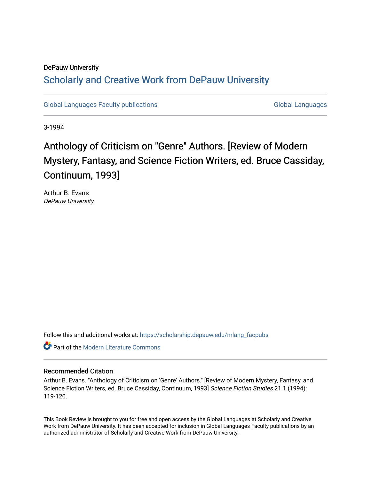## DePauw University Scholarly and [Creative Work from DePauw Univ](https://scholarship.depauw.edu/)ersity

[Global Languages Faculty publications](https://scholarship.depauw.edu/mlang_facpubs) [Global Languages](https://scholarship.depauw.edu/modernlanguages) Global Languages

3-1994

# Anthology of Criticism on "Genre" Authors. [Review of Modern Mystery, Fantasy, and Science Fiction Writers, ed. Bruce Cassiday, Continuum, 1993]

Arthur B. Evans DePauw University

Follow this and additional works at: [https://scholarship.depauw.edu/mlang\\_facpubs](https://scholarship.depauw.edu/mlang_facpubs?utm_source=scholarship.depauw.edu%2Fmlang_facpubs%2F45&utm_medium=PDF&utm_campaign=PDFCoverPages)

**C** Part of the Modern Literature Commons

#### Recommended Citation

Arthur B. Evans. "Anthology of Criticism on 'Genre' Authors." [Review of Modern Mystery, Fantasy, and Science Fiction Writers, ed. Bruce Cassiday, Continuum, 1993] Science Fiction Studies 21.1 (1994): 119-120.

This Book Review is brought to you for free and open access by the Global Languages at Scholarly and Creative Work from DePauw University. It has been accepted for inclusion in Global Languages Faculty publications by an authorized administrator of Scholarly and Creative Work from DePauw University.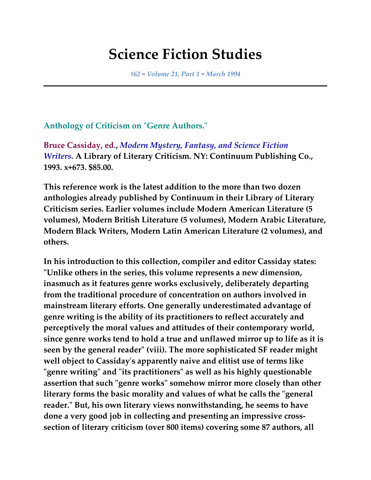# **Science Fiction Studies**

*#62 = Volume 21, Part 1 = March 1994*

### **Anthology of Criticism on "Genre Authors."**

**Bruce Cassiday, ed.,** *Modern Mystery, Fantasy, and Science Fiction Writers.* **A Library of Literary Criticism. NY: Continuum Publishing Co., 1993. x+673. \$85.00.**

**This reference work is the latest addition to the more than two dozen anthologies already published by Continuum in their Library of Literary Criticism series. Earlier volumes include Modern American Literature (5 volumes), Modern British Literature (5 volumes), Modern Arabic Literature, Modern Black Writers, Modern Latin American Literature (2 volumes), and others.**

**In his introduction to this collection, compiler and editor Cassiday states: "Unlike others in the series, this volume represents a new dimension, inasmuch as it features genre works exclusively, deliberately departing from the traditional procedure of concentration on authors involved in mainstream literary efforts. One generally underestimated advantage of genre writing is the ability of its practitioners to reflect accurately and perceptively the moral values and attitudes of their contemporary world, since genre works tend to hold a true and unflawed mirror up to life as it is seen by the general reader" (viii). The more sophisticated SF reader might well object to Cassiday's apparently naive and elitist use of terms like "genre writing" and "its practitioners" as well as his highly questionable assertion that such "genre works" somehow mirror more closely than other literary forms the basic morality and values of what he calls the "general reader." But, his own literary views nonwithstanding, he seems to have done a very good job in collecting and presenting an impressive crosssection of literary criticism (over 800 items) covering some 87 authors, all**